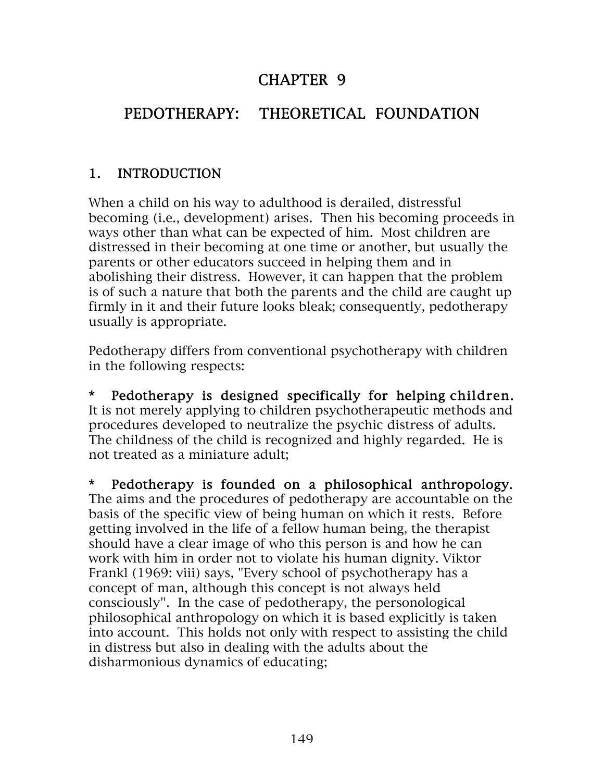## CHAPTER 9

## PEDOTHERAPY: THEORETICAL FOUNDATION

#### 1. INTRODUCTION

When a child on his way to adulthood is derailed, distressful becoming (i.e., development) arises. Then his becoming proceeds in ways other than what can be expected of him. Most children are distressed in their becoming at one time or another, but usually the parents or other educators succeed in helping them and in abolishing their distress. However, it can happen that the problem is of such a nature that both the parents and the child are caught up firmly in it and their future looks bleak; consequently, pedotherapy usually is appropriate.

Pedotherapy differs from conventional psychotherapy with children in the following respects:

\* Pedotherapy is designed specifically for helping children. It is not merely applying to children psychotherapeutic methods and procedures developed to neutralize the psychic distress of adults. The childness of the child is recognized and highly regarded. He is not treated as a miniature adult;

\* Pedotherapy is founded on a philosophical anthropology. The aims and the procedures of pedotherapy are accountable on the basis of the specific view of being human on which it rests. Before getting involved in the life of a fellow human being, the therapist should have a clear image of who this person is and how he can work with him in order not to violate his human dignity. Viktor Frankl (1969: viii) says, "Every school of psychotherapy has a concept of man, although this concept is not always held consciously". In the case of pedotherapy, the personological philosophical anthropology on which it is based explicitly is taken into account. This holds not only with respect to assisting the child in distress but also in dealing with the adults about the disharmonious dynamics of educating;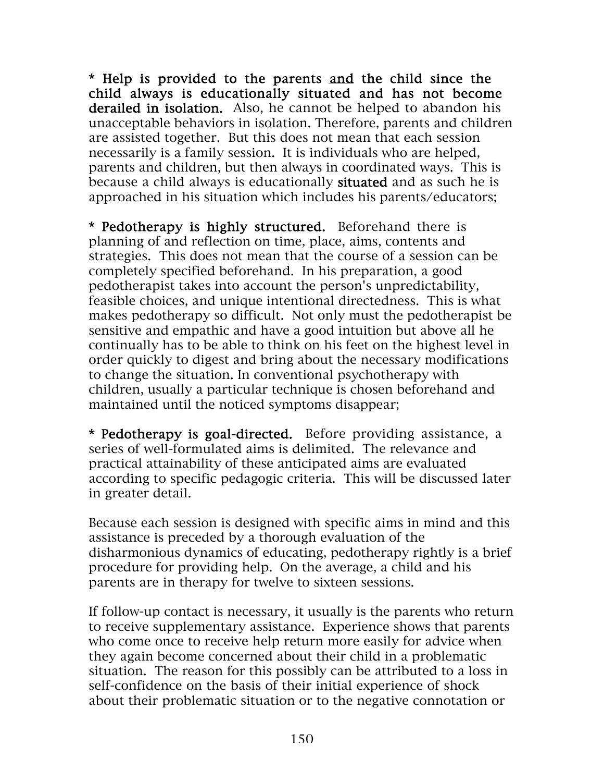\* Help is provided to the parents and the child since the child always is educationally situated and has not become derailed in isolation. Also, he cannot be helped to abandon his unacceptable behaviors in isolation. Therefore, parents and children are assisted together. But this does not mean that each session necessarily is a family session. It is individuals who are helped, parents and children, but then always in coordinated ways. This is because a child always is educationally situated and as such he is approached in his situation which includes his parents/educators;

\* Pedotherapy is highly structured. Beforehand there is planning of and reflection on time, place, aims, contents and strategies. This does not mean that the course of a session can be completely specified beforehand. In his preparation, a good pedotherapist takes into account the person's unpredictability, feasible choices, and unique intentional directedness. This is what makes pedotherapy so difficult. Not only must the pedotherapist be sensitive and empathic and have a good intuition but above all he continually has to be able to think on his feet on the highest level in order quickly to digest and bring about the necessary modifications to change the situation. In conventional psychotherapy with children, usually a particular technique is chosen beforehand and maintained until the noticed symptoms disappear;

\* Pedotherapy is goal-directed. Before providing assistance, a series of well-formulated aims is delimited. The relevance and practical attainability of these anticipated aims are evaluated according to specific pedagogic criteria. This will be discussed later in greater detail.

Because each session is designed with specific aims in mind and this assistance is preceded by a thorough evaluation of the disharmonious dynamics of educating, pedotherapy rightly is a brief procedure for providing help. On the average, a child and his parents are in therapy for twelve to sixteen sessions.

If follow-up contact is necessary, it usually is the parents who return to receive supplementary assistance. Experience shows that parents who come once to receive help return more easily for advice when they again become concerned about their child in a problematic situation. The reason for this possibly can be attributed to a loss in self-confidence on the basis of their initial experience of shock about their problematic situation or to the negative connotation or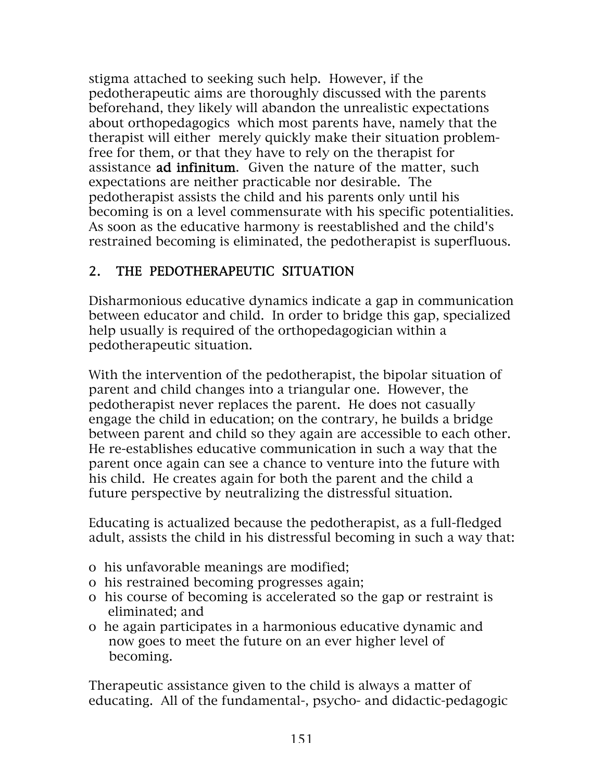stigma attached to seeking such help. However, if the pedotherapeutic aims are thoroughly discussed with the parents beforehand, they likely will abandon the unrealistic expectations about orthopedagogics which most parents have, namely that the therapist will either merely quickly make their situation problemfree for them, or that they have to rely on the therapist for assistance **ad infinitum.** Given the nature of the matter, such expectations are neither practicable nor desirable. The pedotherapist assists the child and his parents only until his becoming is on a level commensurate with his specific potentialities. As soon as the educative harmony is reestablished and the child's restrained becoming is eliminated, the pedotherapist is superfluous.

## 2. THE PEDOTHERAPEUTIC SITUATION

Disharmonious educative dynamics indicate a gap in communication between educator and child. In order to bridge this gap, specialized help usually is required of the orthopedagogician within a pedotherapeutic situation.

With the intervention of the pedotherapist, the bipolar situation of parent and child changes into a triangular one. However, the pedotherapist never replaces the parent. He does not casually engage the child in education; on the contrary, he builds a bridge between parent and child so they again are accessible to each other. He re-establishes educative communication in such a way that the parent once again can see a chance to venture into the future with his child. He creates again for both the parent and the child a future perspective by neutralizing the distressful situation.

Educating is actualized because the pedotherapist, as a full-fledged adult, assists the child in his distressful becoming in such a way that:

- o his unfavorable meanings are modified;
- o his restrained becoming progresses again;
- o his course of becoming is accelerated so the gap or restraint is eliminated; and
- o he again participates in a harmonious educative dynamic and now goes to meet the future on an ever higher level of becoming.

Therapeutic assistance given to the child is always a matter of educating. All of the fundamental-, psycho- and didactic-pedagogic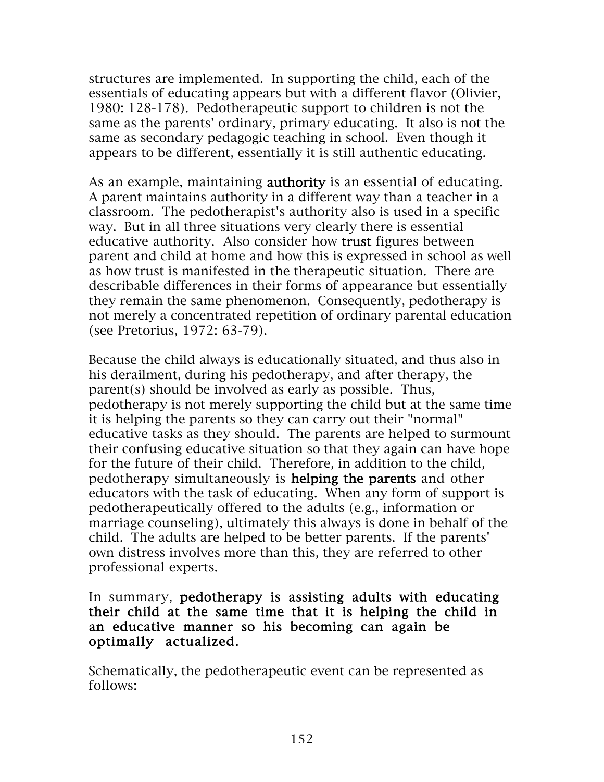structures are implemented. In supporting the child, each of the essentials of educating appears but with a different flavor (Olivier, 1980: 128-178). Pedotherapeutic support to children is not the same as the parents' ordinary, primary educating. It also is not the same as secondary pedagogic teaching in school. Even though it appears to be different, essentially it is still authentic educating.

As an example, maintaining **authority** is an essential of educating. A parent maintains authority in a different way than a teacher in a classroom. The pedotherapist's authority also is used in a specific way. But in all three situations very clearly there is essential educative authority. Also consider how trust figures between parent and child at home and how this is expressed in school as well as how trust is manifested in the therapeutic situation. There are describable differences in their forms of appearance but essentially they remain the same phenomenon. Consequently, pedotherapy is not merely a concentrated repetition of ordinary parental education (see Pretorius, 1972: 63-79).

Because the child always is educationally situated, and thus also in his derailment, during his pedotherapy, and after therapy, the parent(s) should be involved as early as possible. Thus, pedotherapy is not merely supporting the child but at the same time it is helping the parents so they can carry out their "normal" educative tasks as they should. The parents are helped to surmount their confusing educative situation so that they again can have hope for the future of their child. Therefore, in addition to the child, pedotherapy simultaneously is helping the parents and other educators with the task of educating. When any form of support is pedotherapeutically offered to the adults (e.g., information or marriage counseling), ultimately this always is done in behalf of the child. The adults are helped to be better parents. If the parents' own distress involves more than this, they are referred to other professional experts.

#### In summary, pedotherapy is assisting adults with educating their child at the same time that it is helping the child in an educative manner so his becoming can again be optimally actualized.

Schematically, the pedotherapeutic event can be represented as follows: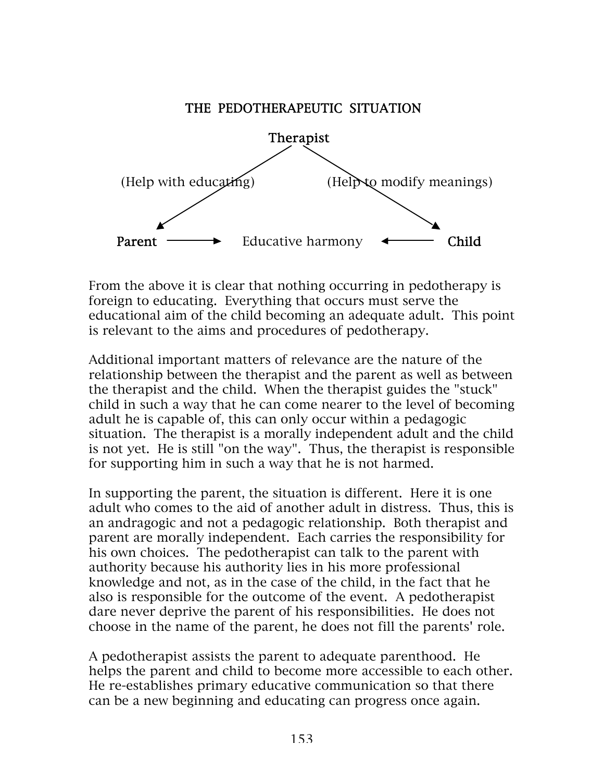#### THE PEDOTHERAPEUTIC SITUATION



From the above it is clear that nothing occurring in pedotherapy is foreign to educating. Everything that occurs must serve the educational aim of the child becoming an adequate adult. This point is relevant to the aims and procedures of pedotherapy.

Additional important matters of relevance are the nature of the relationship between the therapist and the parent as well as between the therapist and the child. When the therapist guides the "stuck" child in such a way that he can come nearer to the level of becoming adult he is capable of, this can only occur within a pedagogic situation. The therapist is a morally independent adult and the child is not yet. He is still "on the way". Thus, the therapist is responsible for supporting him in such a way that he is not harmed.

In supporting the parent, the situation is different. Here it is one adult who comes to the aid of another adult in distress. Thus, this is an andragogic and not a pedagogic relationship. Both therapist and parent are morally independent. Each carries the responsibility for his own choices. The pedotherapist can talk to the parent with authority because his authority lies in his more professional knowledge and not, as in the case of the child, in the fact that he also is responsible for the outcome of the event. A pedotherapist dare never deprive the parent of his responsibilities. He does not choose in the name of the parent, he does not fill the parents' role.

A pedotherapist assists the parent to adequate parenthood. He helps the parent and child to become more accessible to each other. He re-establishes primary educative communication so that there can be a new beginning and educating can progress once again.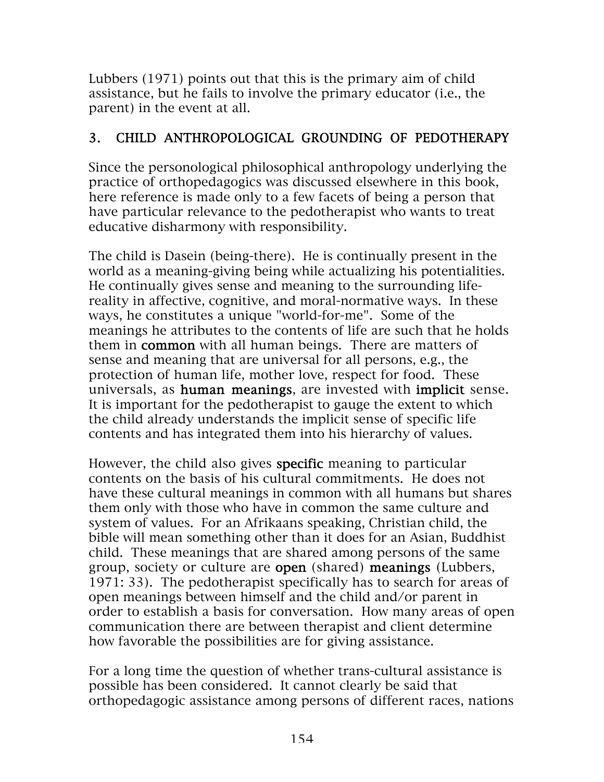Lubbers (1971) points out that this is the primary aim of child assistance, but he fails to involve the primary educator (i.e., the parent) in the event at all.

### 3. CHILD ANTHROPOLOGICAL GROUNDING OF PEDOTHERAPY

Since the personological philosophical anthropology underlying the practice of orthopedagogics was discussed elsewhere in this book, here reference is made only to a few facets of being a person that have particular relevance to the pedotherapist who wants to treat educative disharmony with responsibility.

The child is Dasein (being-there). He is continually present in the world as a meaning-giving being while actualizing his potentialities. He continually gives sense and meaning to the surrounding lifereality in affective, cognitive, and moral-normative ways. In these ways, he constitutes a unique "world-for-me". Some of the meanings he attributes to the contents of life are such that he holds them in common with all human beings. There are matters of sense and meaning that are universal for all persons, e.g., the protection of human life, mother love, respect for food. These universals, as human meanings, are invested with implicit sense. It is important for the pedotherapist to gauge the extent to which the child already understands the implicit sense of specific life contents and has integrated them into his hierarchy of values.

However, the child also gives specific meaning to particular contents on the basis of his cultural commitments. He does not have these cultural meanings in common with all humans but shares them only with those who have in common the same culture and system of values. For an Afrikaans speaking, Christian child, the bible will mean something other than it does for an Asian, Buddhist child. These meanings that are shared among persons of the same group, society or culture are open (shared) meanings (Lubbers, 1971: 33). The pedotherapist specifically has to search for areas of open meanings between himself and the child and/or parent in order to establish a basis for conversation. How many areas of open communication there are between therapist and client determine how favorable the possibilities are for giving assistance.

For a long time the question of whether trans-cultural assistance is possible has been considered. It cannot clearly be said that orthopedagogic assistance among persons of different races, nations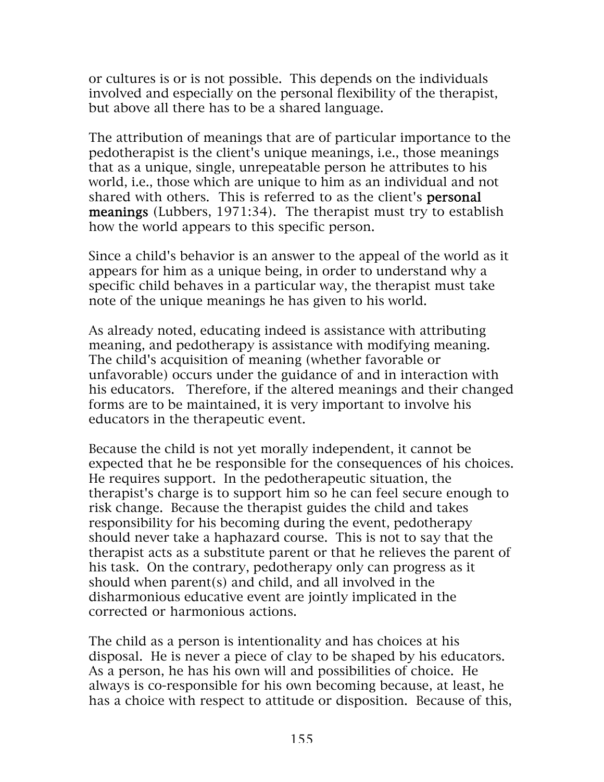or cultures is or is not possible. This depends on the individuals involved and especially on the personal flexibility of the therapist, but above all there has to be a shared language.

The attribution of meanings that are of particular importance to the pedotherapist is the client's unique meanings, i.e., those meanings that as a unique, single, unrepeatable person he attributes to his world, i.e., those which are unique to him as an individual and not shared with others. This is referred to as the client's **personal** meanings (Lubbers, 1971:34). The therapist must try to establish how the world appears to this specific person.

Since a child's behavior is an answer to the appeal of the world as it appears for him as a unique being, in order to understand why a specific child behaves in a particular way, the therapist must take note of the unique meanings he has given to his world.

As already noted, educating indeed is assistance with attributing meaning, and pedotherapy is assistance with modifying meaning. The child's acquisition of meaning (whether favorable or unfavorable) occurs under the guidance of and in interaction with his educators. Therefore, if the altered meanings and their changed forms are to be maintained, it is very important to involve his educators in the therapeutic event.

Because the child is not yet morally independent, it cannot be expected that he be responsible for the consequences of his choices. He requires support. In the pedotherapeutic situation, the therapist's charge is to support him so he can feel secure enough to risk change. Because the therapist guides the child and takes responsibility for his becoming during the event, pedotherapy should never take a haphazard course. This is not to say that the therapist acts as a substitute parent or that he relieves the parent of his task. On the contrary, pedotherapy only can progress as it should when parent(s) and child, and all involved in the disharmonious educative event are jointly implicated in the corrected or harmonious actions.

The child as a person is intentionality and has choices at his disposal. He is never a piece of clay to be shaped by his educators. As a person, he has his own will and possibilities of choice. He always is co-responsible for his own becoming because, at least, he has a choice with respect to attitude or disposition. Because of this,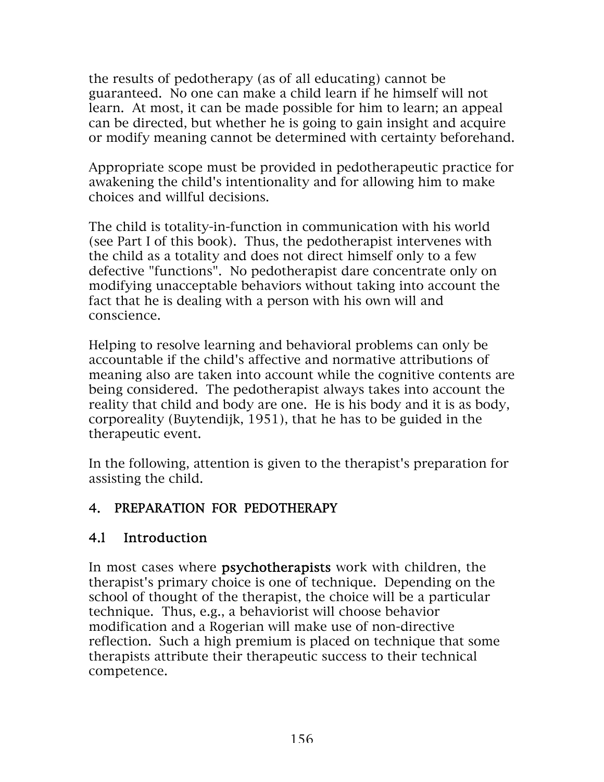the results of pedotherapy (as of all educating) cannot be guaranteed. No one can make a child learn if he himself will not learn. At most, it can be made possible for him to learn; an appeal can be directed, but whether he is going to gain insight and acquire or modify meaning cannot be determined with certainty beforehand.

Appropriate scope must be provided in pedotherapeutic practice for awakening the child's intentionality and for allowing him to make choices and willful decisions.

The child is totality-in-function in communication with his world (see Part I of this book). Thus, the pedotherapist intervenes with the child as a totality and does not direct himself only to a few defective "functions". No pedotherapist dare concentrate only on modifying unacceptable behaviors without taking into account the fact that he is dealing with a person with his own will and conscience.

Helping to resolve learning and behavioral problems can only be accountable if the child's affective and normative attributions of meaning also are taken into account while the cognitive contents are being considered. The pedotherapist always takes into account the reality that child and body are one. He is his body and it is as body, corporeality (Buytendijk, 1951), that he has to be guided in the therapeutic event.

In the following, attention is given to the therapist's preparation for assisting the child.

## 4. PREPARATION FOR PEDOTHERAPY

## 4.l Introduction

In most cases where **psychotherapists** work with children, the therapist's primary choice is one of technique. Depending on the school of thought of the therapist, the choice will be a particular technique. Thus, e.g., a behaviorist will choose behavior modification and a Rogerian will make use of non-directive reflection. Such a high premium is placed on technique that some therapists attribute their therapeutic success to their technical competence.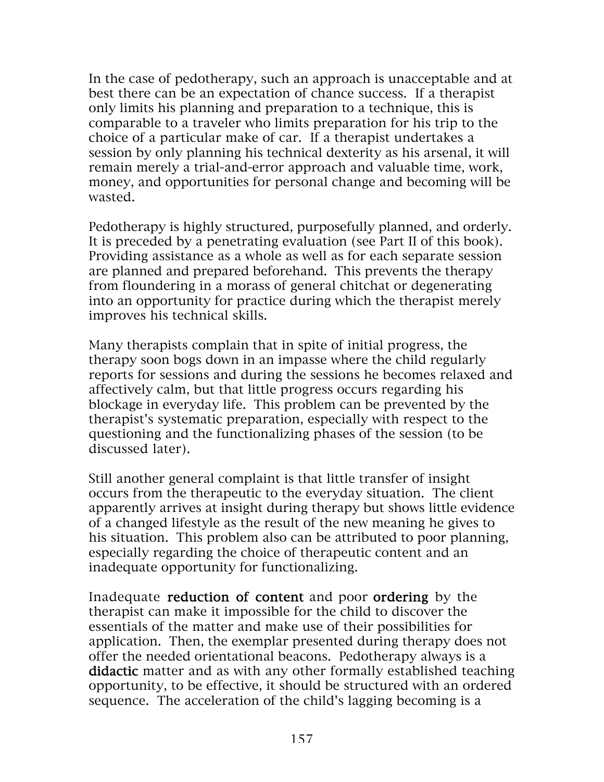In the case of pedotherapy, such an approach is unacceptable and at best there can be an expectation of chance success. If a therapist only limits his planning and preparation to a technique, this is comparable to a traveler who limits preparation for his trip to the choice of a particular make of car. If a therapist undertakes a session by only planning his technical dexterity as his arsenal, it will remain merely a trial-and-error approach and valuable time, work, money, and opportunities for personal change and becoming will be wasted.

Pedotherapy is highly structured, purposefully planned, and orderly. It is preceded by a penetrating evaluation (see Part II of this book). Providing assistance as a whole as well as for each separate session are planned and prepared beforehand. This prevents the therapy from floundering in a morass of general chitchat or degenerating into an opportunity for practice during which the therapist merely improves his technical skills.

Many therapists complain that in spite of initial progress, the therapy soon bogs down in an impasse where the child regularly reports for sessions and during the sessions he becomes relaxed and affectively calm, but that little progress occurs regarding his blockage in everyday life. This problem can be prevented by the therapist's systematic preparation, especially with respect to the questioning and the functionalizing phases of the session (to be discussed later).

Still another general complaint is that little transfer of insight occurs from the therapeutic to the everyday situation. The client apparently arrives at insight during therapy but shows little evidence of a changed lifestyle as the result of the new meaning he gives to his situation. This problem also can be attributed to poor planning, especially regarding the choice of therapeutic content and an inadequate opportunity for functionalizing.

Inadequate reduction of content and poor ordering by the therapist can make it impossible for the child to discover the essentials of the matter and make use of their possibilities for application. Then, the exemplar presented during therapy does not offer the needed orientational beacons. Pedotherapy always is a didactic matter and as with any other formally established teaching opportunity, to be effective, it should be structured with an ordered sequence. The acceleration of the child's lagging becoming is a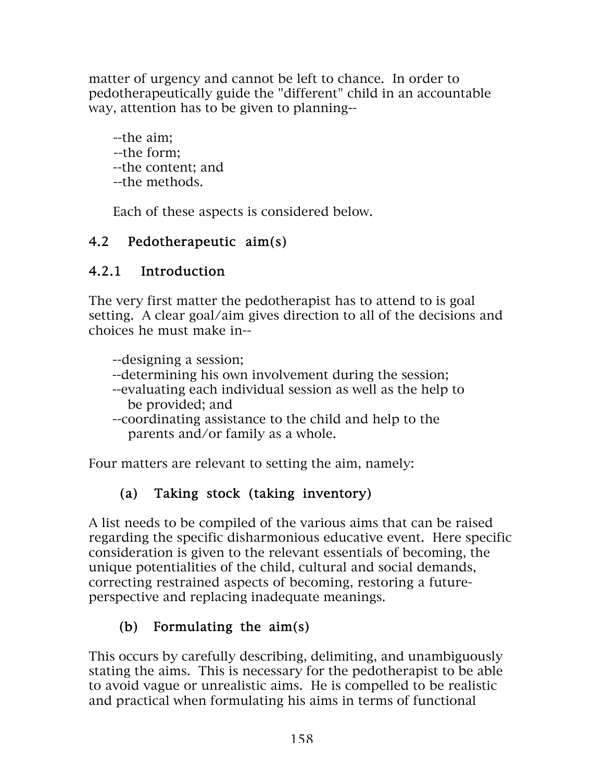matter of urgency and cannot be left to chance. In order to pedotherapeutically guide the "different" child in an accountable way, attention has to be given to planning--

 --the aim; --the form; --the content; and --the methods.

Each of these aspects is considered below.

## 4.2 Pedotherapeutic aim(s)

## 4.2.1 Introduction

The very first matter the pedotherapist has to attend to is goal setting. A clear goal/aim gives direction to all of the decisions and choices he must make in--

--designing a session;

- --determining his own involvement during the session;
- --evaluating each individual session as well as the help to be provided; and
- --coordinating assistance to the child and help to the parents and/or family as a whole.

Four matters are relevant to setting the aim, namely:

# (a) Taking stock (taking inventory)

A list needs to be compiled of the various aims that can be raised regarding the specific disharmonious educative event. Here specific consideration is given to the relevant essentials of becoming, the unique potentialities of the child, cultural and social demands, correcting restrained aspects of becoming, restoring a futureperspective and replacing inadequate meanings.

# (b) Formulating the aim(s)

This occurs by carefully describing, delimiting, and unambiguously stating the aims. This is necessary for the pedotherapist to be able to avoid vague or unrealistic aims. He is compelled to be realistic and practical when formulating his aims in terms of functional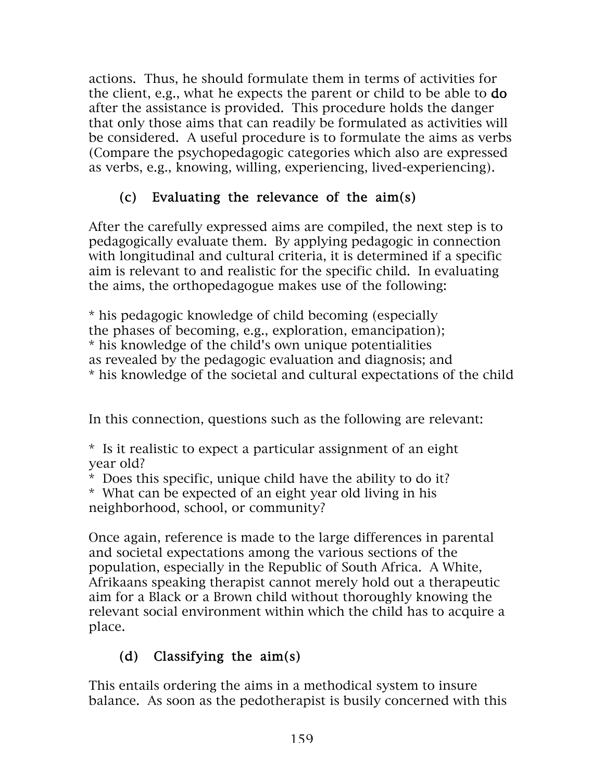actions. Thus, he should formulate them in terms of activities for the client, e.g., what he expects the parent or child to be able to do after the assistance is provided. This procedure holds the danger that only those aims that can readily be formulated as activities will be considered. A useful procedure is to formulate the aims as verbs (Compare the psychopedagogic categories which also are expressed as verbs, e.g., knowing, willing, experiencing, lived-experiencing).

## (c) Evaluating the relevance of the aim(s)

After the carefully expressed aims are compiled, the next step is to pedagogically evaluate them. By applying pedagogic in connection with longitudinal and cultural criteria, it is determined if a specific aim is relevant to and realistic for the specific child. In evaluating the aims, the orthopedagogue makes use of the following:

\* his pedagogic knowledge of child becoming (especially the phases of becoming, e.g., exploration, emancipation); \* his knowledge of the child's own unique potentialities as revealed by the pedagogic evaluation and diagnosis; and \* his knowledge of the societal and cultural expectations of the child

In this connection, questions such as the following are relevant:

\* Is it realistic to expect a particular assignment of an eight year old?

\* Does this specific, unique child have the ability to do it?

\* What can be expected of an eight year old living in his neighborhood, school, or community?

Once again, reference is made to the large differences in parental and societal expectations among the various sections of the population, especially in the Republic of South Africa. A White, Afrikaans speaking therapist cannot merely hold out a therapeutic aim for a Black or a Brown child without thoroughly knowing the relevant social environment within which the child has to acquire a place.

## (d) Classifying the aim(s)

This entails ordering the aims in a methodical system to insure balance. As soon as the pedotherapist is busily concerned with this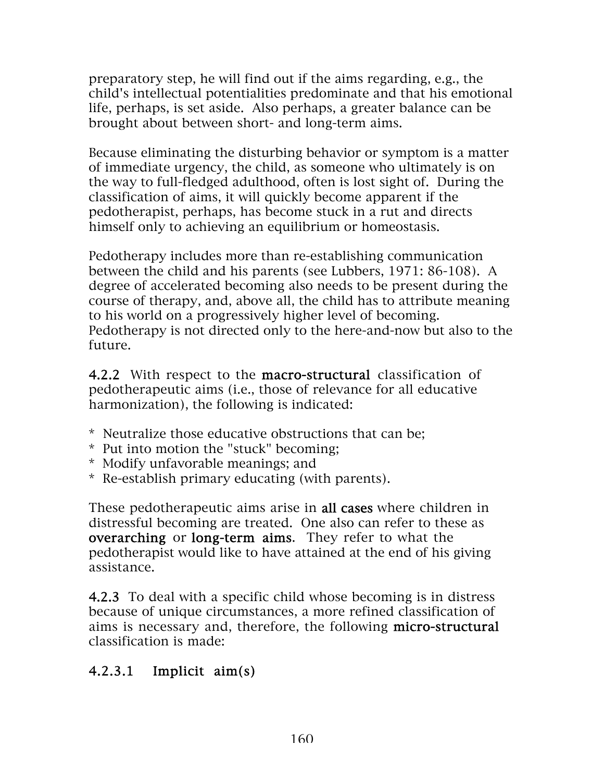preparatory step, he will find out if the aims regarding, e.g., the child's intellectual potentialities predominate and that his emotional life, perhaps, is set aside. Also perhaps, a greater balance can be brought about between short- and long-term aims.

Because eliminating the disturbing behavior or symptom is a matter of immediate urgency, the child, as someone who ultimately is on the way to full-fledged adulthood, often is lost sight of. During the classification of aims, it will quickly become apparent if the pedotherapist, perhaps, has become stuck in a rut and directs himself only to achieving an equilibrium or homeostasis.

Pedotherapy includes more than re-establishing communication between the child and his parents (see Lubbers, 1971: 86-108). A degree of accelerated becoming also needs to be present during the course of therapy, and, above all, the child has to attribute meaning to his world on a progressively higher level of becoming. Pedotherapy is not directed only to the here-and-now but also to the future.

4.2.2 With respect to the macro-structural classification of pedotherapeutic aims (i.e., those of relevance for all educative harmonization), the following is indicated:

- \* Neutralize those educative obstructions that can be;
- \* Put into motion the "stuck" becoming;
- \* Modify unfavorable meanings; and
- \* Re-establish primary educating (with parents).

These pedotherapeutic aims arise in all cases where children in distressful becoming are treated. One also can refer to these as overarching or long-term aims. They refer to what the pedotherapist would like to have attained at the end of his giving assistance.

4.2.3 To deal with a specific child whose becoming is in distress because of unique circumstances, a more refined classification of aims is necessary and, therefore, the following micro-structural classification is made:

#### 4.2.3.1 Implicit aim(s)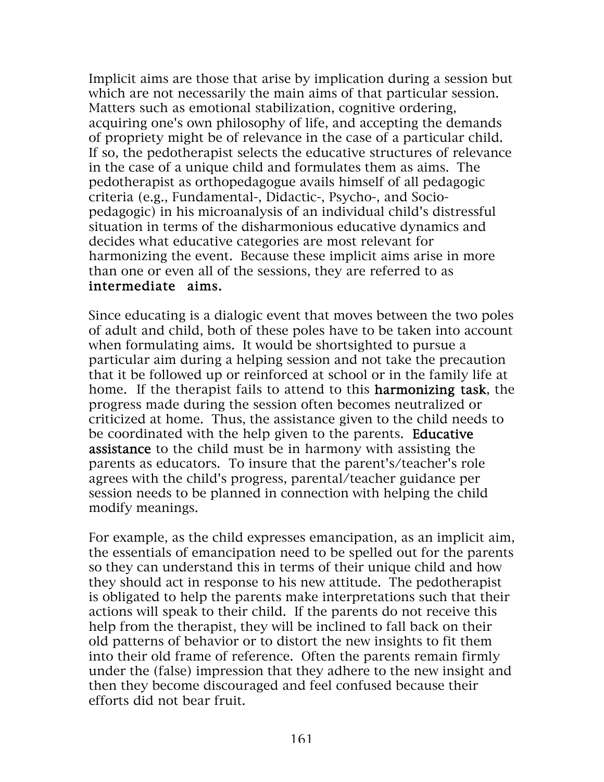Implicit aims are those that arise by implication during a session but which are not necessarily the main aims of that particular session. Matters such as emotional stabilization, cognitive ordering, acquiring one's own philosophy of life, and accepting the demands of propriety might be of relevance in the case of a particular child. If so, the pedotherapist selects the educative structures of relevance in the case of a unique child and formulates them as aims. The pedotherapist as orthopedagogue avails himself of all pedagogic criteria (e.g., Fundamental-, Didactic-, Psycho-, and Sociopedagogic) in his microanalysis of an individual child's distressful situation in terms of the disharmonious educative dynamics and decides what educative categories are most relevant for harmonizing the event. Because these implicit aims arise in more than one or even all of the sessions, they are referred to as intermediate aims.

Since educating is a dialogic event that moves between the two poles of adult and child, both of these poles have to be taken into account when formulating aims. It would be shortsighted to pursue a particular aim during a helping session and not take the precaution that it be followed up or reinforced at school or in the family life at home. If the therapist fails to attend to this harmonizing task, the progress made during the session often becomes neutralized or criticized at home. Thus, the assistance given to the child needs to be coordinated with the help given to the parents. Educative assistance to the child must be in harmony with assisting the parents as educators. To insure that the parent's/teacher's role agrees with the child's progress, parental/teacher guidance per session needs to be planned in connection with helping the child modify meanings.

For example, as the child expresses emancipation, as an implicit aim, the essentials of emancipation need to be spelled out for the parents so they can understand this in terms of their unique child and how they should act in response to his new attitude. The pedotherapist is obligated to help the parents make interpretations such that their actions will speak to their child. If the parents do not receive this help from the therapist, they will be inclined to fall back on their old patterns of behavior or to distort the new insights to fit them into their old frame of reference. Often the parents remain firmly under the (false) impression that they adhere to the new insight and then they become discouraged and feel confused because their efforts did not bear fruit.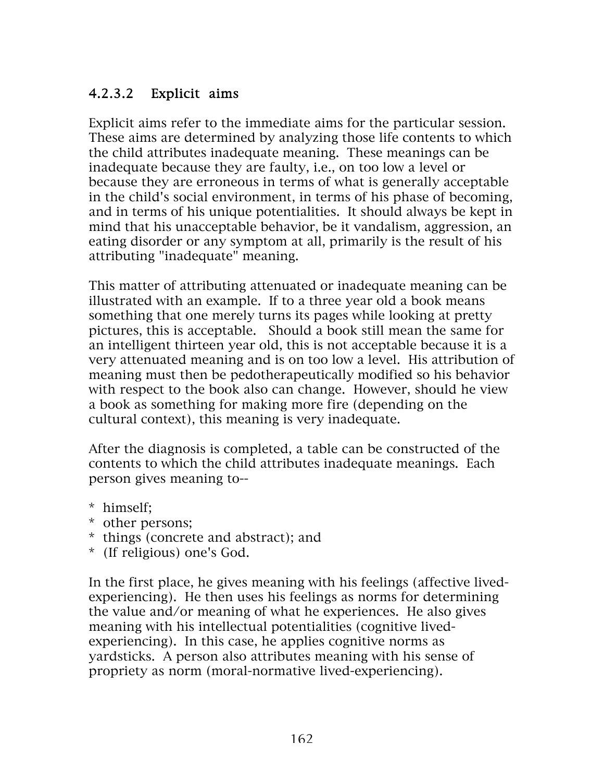### 4.2.3.2 Explicit aims

Explicit aims refer to the immediate aims for the particular session. These aims are determined by analyzing those life contents to which the child attributes inadequate meaning. These meanings can be inadequate because they are faulty, i.e., on too low a level or because they are erroneous in terms of what is generally acceptable in the child's social environment, in terms of his phase of becoming, and in terms of his unique potentialities. It should always be kept in mind that his unacceptable behavior, be it vandalism, aggression, an eating disorder or any symptom at all, primarily is the result of his attributing "inadequate" meaning.

This matter of attributing attenuated or inadequate meaning can be illustrated with an example. If to a three year old a book means something that one merely turns its pages while looking at pretty pictures, this is acceptable. Should a book still mean the same for an intelligent thirteen year old, this is not acceptable because it is a very attenuated meaning and is on too low a level. His attribution of meaning must then be pedotherapeutically modified so his behavior with respect to the book also can change. However, should he view a book as something for making more fire (depending on the cultural context), this meaning is very inadequate.

After the diagnosis is completed, a table can be constructed of the contents to which the child attributes inadequate meanings. Each person gives meaning to--

- \* himself;
- \* other persons;
- \* things (concrete and abstract); and
- \* (If religious) one's God.

In the first place, he gives meaning with his feelings (affective livedexperiencing). He then uses his feelings as norms for determining the value and/or meaning of what he experiences. He also gives meaning with his intellectual potentialities (cognitive livedexperiencing). In this case, he applies cognitive norms as yardsticks. A person also attributes meaning with his sense of propriety as norm (moral-normative lived-experiencing).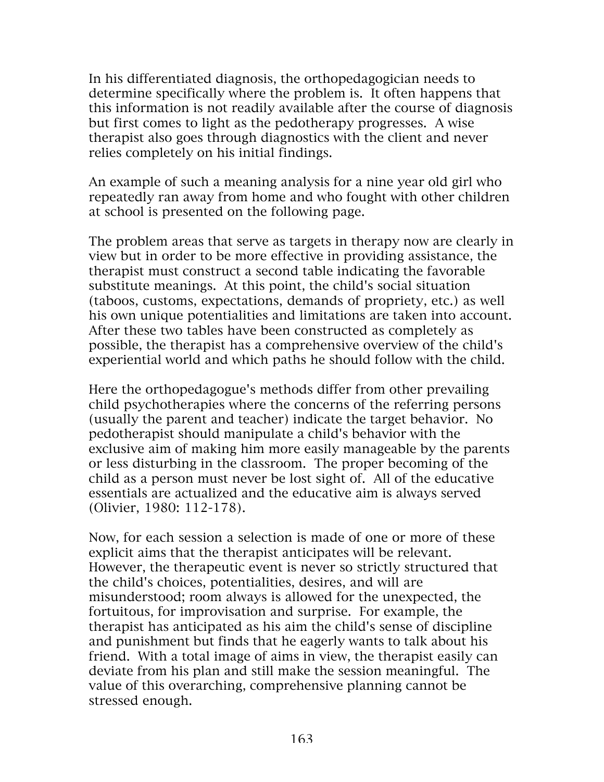In his differentiated diagnosis, the orthopedagogician needs to determine specifically where the problem is. It often happens that this information is not readily available after the course of diagnosis but first comes to light as the pedotherapy progresses. A wise therapist also goes through diagnostics with the client and never relies completely on his initial findings.

An example of such a meaning analysis for a nine year old girl who repeatedly ran away from home and who fought with other children at school is presented on the following page.

The problem areas that serve as targets in therapy now are clearly in view but in order to be more effective in providing assistance, the therapist must construct a second table indicating the favorable substitute meanings. At this point, the child's social situation (taboos, customs, expectations, demands of propriety, etc.) as well his own unique potentialities and limitations are taken into account. After these two tables have been constructed as completely as possible, the therapist has a comprehensive overview of the child's experiential world and which paths he should follow with the child.

Here the orthopedagogue's methods differ from other prevailing child psychotherapies where the concerns of the referring persons (usually the parent and teacher) indicate the target behavior. No pedotherapist should manipulate a child's behavior with the exclusive aim of making him more easily manageable by the parents or less disturbing in the classroom. The proper becoming of the child as a person must never be lost sight of. All of the educative essentials are actualized and the educative aim is always served (Olivier, 1980: 112-178).

Now, for each session a selection is made of one or more of these explicit aims that the therapist anticipates will be relevant. However, the therapeutic event is never so strictly structured that the child's choices, potentialities, desires, and will are misunderstood; room always is allowed for the unexpected, the fortuitous, for improvisation and surprise. For example, the therapist has anticipated as his aim the child's sense of discipline and punishment but finds that he eagerly wants to talk about his friend. With a total image of aims in view, the therapist easily can deviate from his plan and still make the session meaningful. The value of this overarching, comprehensive planning cannot be stressed enough.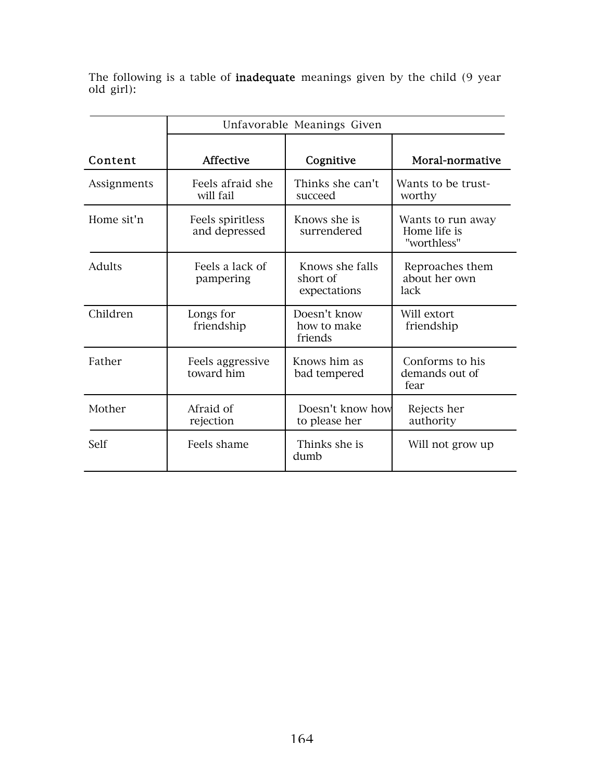The following is a table of **inadequate** meanings given by the child (9 year old girl):

|             | Unfavorable Meanings Given        |                                             |                                                  |
|-------------|-----------------------------------|---------------------------------------------|--------------------------------------------------|
| Content     | <b>Affective</b>                  | Cognitive                                   | Moral-normative                                  |
| Assignments | Feels afraid she<br>will fail     | Thinks she can't<br>succeed                 | Wants to be trust-<br>worthy                     |
| Home sit'n  | Feels spiritless<br>and depressed | Knows she is<br>surrendered                 | Wants to run away<br>Home life is<br>"worthless" |
| Adults      | Feels a lack of<br>pampering      | Knows she falls<br>short of<br>expectations | Reproaches them<br>about her own<br>lack         |
| Children    | Longs for<br>friendship           | Doesn't know<br>how to make<br>friends      | Will extort<br>friendship                        |
| Father      | Feels aggressive<br>toward him    | Knows him as<br>bad tempered                | Conforms to his<br>demands out of<br>fear        |
| Mother      | Afraid of<br>rejection            | Doesn't know how<br>to please her           | Rejects her<br>authority                         |
| Self        | Feels shame                       | Thinks she is<br>dumb                       | Will not grow up                                 |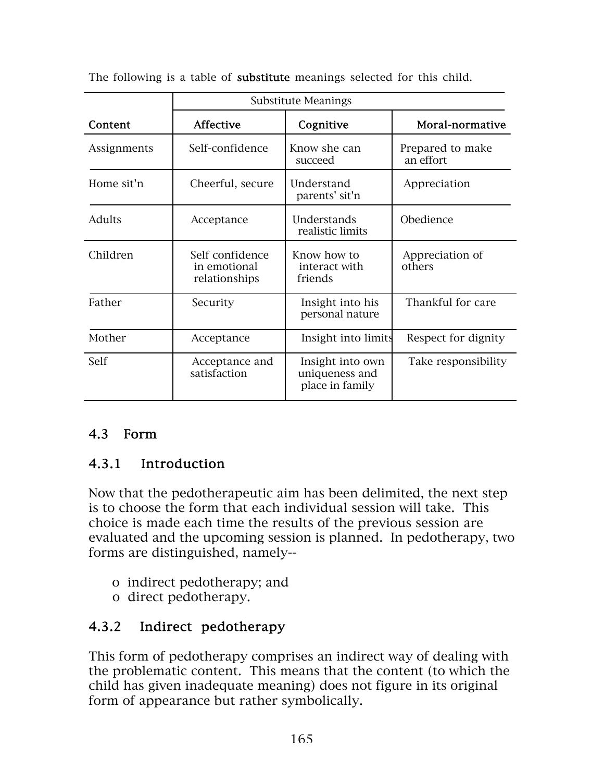|               | <b>Substitute Meanings</b>                       |                                                       |                               |
|---------------|--------------------------------------------------|-------------------------------------------------------|-------------------------------|
| Content       | Affective                                        | Cognitive                                             | Moral-normative               |
| Assignments   | Self-confidence                                  | Know she can<br>succeed                               | Prepared to make<br>an effort |
| Home sit'n    | Cheerful, secure                                 | Understand<br>parents' sit'n                          | Appreciation                  |
| <b>Adults</b> | Acceptance                                       | Understands<br>realistic limits                       | Obedience                     |
| Children      | Self confidence<br>in emotional<br>relationships | Know how to<br>interact with<br>friends               | Appreciation of<br>others     |
| Father        | Security                                         | Insight into his<br>personal nature                   | Thankful for care             |
| Mother        | Acceptance                                       | Insight into limits                                   | Respect for dignity           |
| Self          | Acceptance and<br>satisfaction                   | Insight into own<br>uniqueness and<br>place in family | Take responsibility           |

The following is a table of **substitute** meanings selected for this child.

## 4.3 Form

## 4.3.1 Introduction

 Now that the pedotherapeutic aim has been delimited, the next step is to choose the form that each individual session will take. This choice is made each time the results of the previous session are evaluated and the upcoming session is planned. In pedotherapy, two forms are distinguished, namely--

- o indirect pedotherapy; and
- o direct pedotherapy.

## 4.3.2 Indirect pedotherapy

This form of pedotherapy comprises an indirect way of dealing with the problematic content. This means that the content (to which the child has given inadequate meaning) does not figure in its original form of appearance but rather symbolically.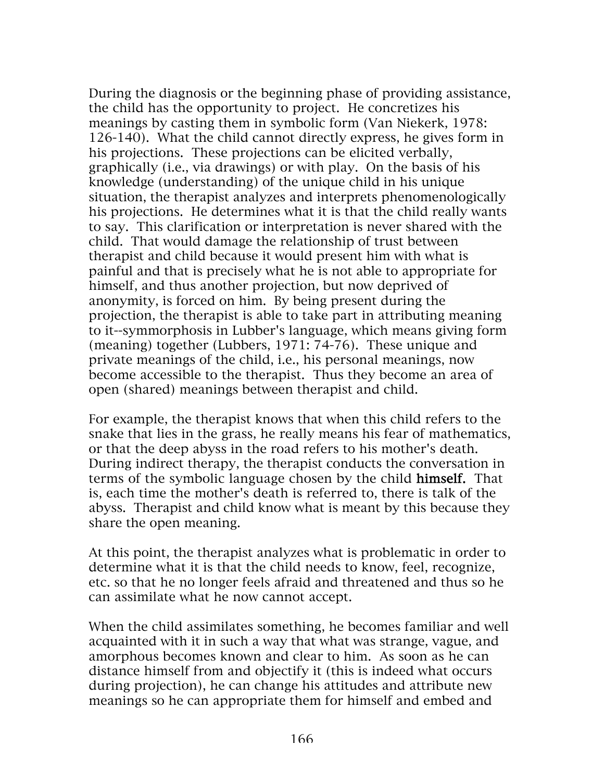During the diagnosis or the beginning phase of providing assistance, the child has the opportunity to project. He concretizes his meanings by casting them in symbolic form (Van Niekerk, 1978: 126-140). What the child cannot directly express, he gives form in his projections. These projections can be elicited verbally, graphically (i.e., via drawings) or with play. On the basis of his knowledge (understanding) of the unique child in his unique situation, the therapist analyzes and interprets phenomenologically his projections. He determines what it is that the child really wants to say. This clarification or interpretation is never shared with the child. That would damage the relationship of trust between therapist and child because it would present him with what is painful and that is precisely what he is not able to appropriate for himself, and thus another projection, but now deprived of anonymity, is forced on him. By being present during the projection, the therapist is able to take part in attributing meaning to it--symmorphosis in Lubber's language, which means giving form (meaning) together (Lubbers, 1971: 74-76). These unique and private meanings of the child, i.e., his personal meanings, now become accessible to the therapist. Thus they become an area of open (shared) meanings between therapist and child.

For example, the therapist knows that when this child refers to the snake that lies in the grass, he really means his fear of mathematics, or that the deep abyss in the road refers to his mother's death. During indirect therapy, the therapist conducts the conversation in terms of the symbolic language chosen by the child himself. That is, each time the mother's death is referred to, there is talk of the abyss. Therapist and child know what is meant by this because they share the open meaning.

At this point, the therapist analyzes what is problematic in order to determine what it is that the child needs to know, feel, recognize, etc. so that he no longer feels afraid and threatened and thus so he can assimilate what he now cannot accept.

When the child assimilates something, he becomes familiar and well acquainted with it in such a way that what was strange, vague, and amorphous becomes known and clear to him. As soon as he can distance himself from and objectify it (this is indeed what occurs during projection), he can change his attitudes and attribute new meanings so he can appropriate them for himself and embed and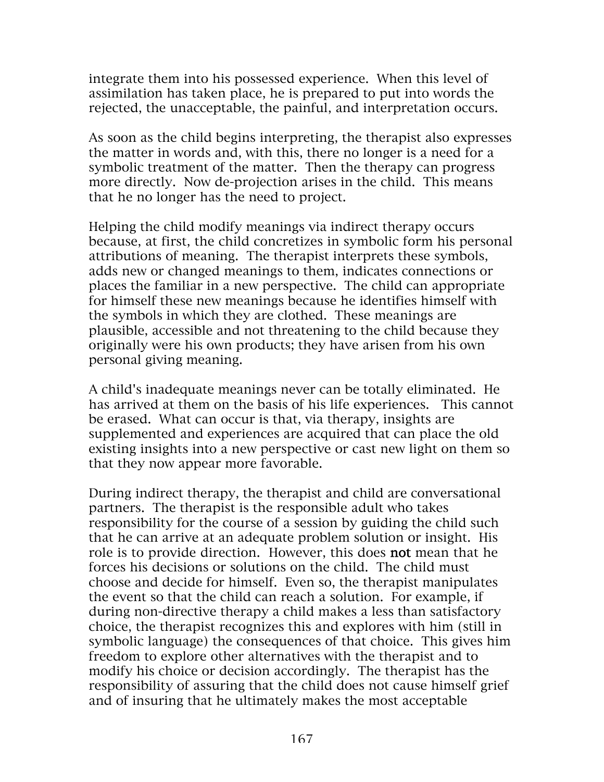integrate them into his possessed experience. When this level of assimilation has taken place, he is prepared to put into words the rejected, the unacceptable, the painful, and interpretation occurs.

As soon as the child begins interpreting, the therapist also expresses the matter in words and, with this, there no longer is a need for a symbolic treatment of the matter. Then the therapy can progress more directly. Now de-projection arises in the child. This means that he no longer has the need to project.

Helping the child modify meanings via indirect therapy occurs because, at first, the child concretizes in symbolic form his personal attributions of meaning. The therapist interprets these symbols, adds new or changed meanings to them, indicates connections or places the familiar in a new perspective. The child can appropriate for himself these new meanings because he identifies himself with the symbols in which they are clothed. These meanings are plausible, accessible and not threatening to the child because they originally were his own products; they have arisen from his own personal giving meaning.

A child's inadequate meanings never can be totally eliminated. He has arrived at them on the basis of his life experiences. This cannot be erased. What can occur is that, via therapy, insights are supplemented and experiences are acquired that can place the old existing insights into a new perspective or cast new light on them so that they now appear more favorable.

During indirect therapy, the therapist and child are conversational partners. The therapist is the responsible adult who takes responsibility for the course of a session by guiding the child such that he can arrive at an adequate problem solution or insight. His role is to provide direction. However, this does not mean that he forces his decisions or solutions on the child. The child must choose and decide for himself. Even so, the therapist manipulates the event so that the child can reach a solution. For example, if during non-directive therapy a child makes a less than satisfactory choice, the therapist recognizes this and explores with him (still in symbolic language) the consequences of that choice. This gives him freedom to explore other alternatives with the therapist and to modify his choice or decision accordingly. The therapist has the responsibility of assuring that the child does not cause himself grief and of insuring that he ultimately makes the most acceptable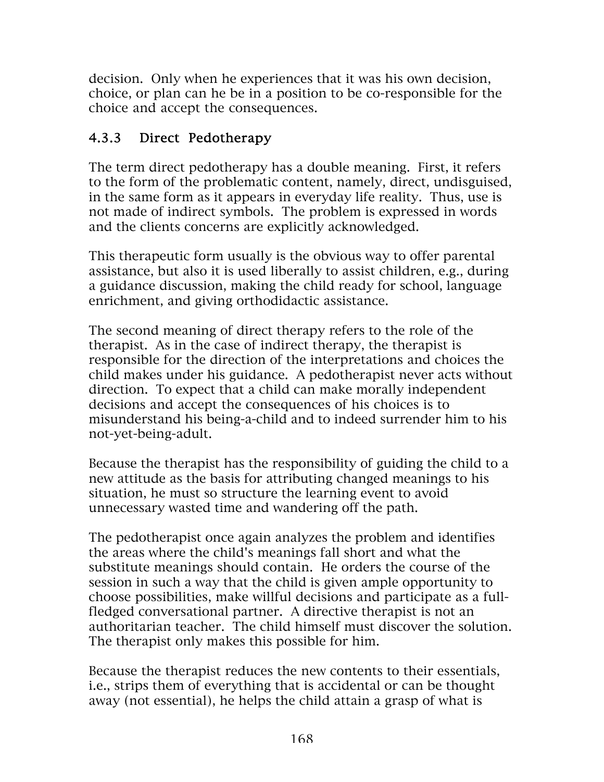decision. Only when he experiences that it was his own decision, choice, or plan can he be in a position to be co-responsible for the choice and accept the consequences.

## 4.3.3 Direct Pedotherapy

The term direct pedotherapy has a double meaning. First, it refers to the form of the problematic content, namely, direct, undisguised, in the same form as it appears in everyday life reality. Thus, use is not made of indirect symbols. The problem is expressed in words and the clients concerns are explicitly acknowledged.

This therapeutic form usually is the obvious way to offer parental assistance, but also it is used liberally to assist children, e.g., during a guidance discussion, making the child ready for school, language enrichment, and giving orthodidactic assistance.

The second meaning of direct therapy refers to the role of the therapist. As in the case of indirect therapy, the therapist is responsible for the direction of the interpretations and choices the child makes under his guidance. A pedotherapist never acts without direction. To expect that a child can make morally independent decisions and accept the consequences of his choices is to misunderstand his being-a-child and to indeed surrender him to his not-yet-being-adult.

Because the therapist has the responsibility of guiding the child to a new attitude as the basis for attributing changed meanings to his situation, he must so structure the learning event to avoid unnecessary wasted time and wandering off the path.

The pedotherapist once again analyzes the problem and identifies the areas where the child's meanings fall short and what the substitute meanings should contain. He orders the course of the session in such a way that the child is given ample opportunity to choose possibilities, make willful decisions and participate as a fullfledged conversational partner. A directive therapist is not an authoritarian teacher. The child himself must discover the solution. The therapist only makes this possible for him.

Because the therapist reduces the new contents to their essentials, i.e., strips them of everything that is accidental or can be thought away (not essential), he helps the child attain a grasp of what is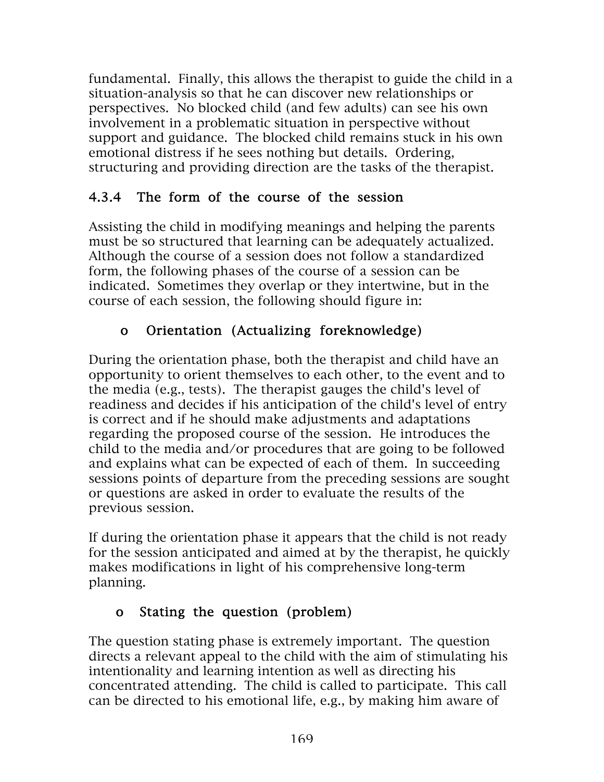fundamental. Finally, this allows the therapist to guide the child in a situation-analysis so that he can discover new relationships or perspectives. No blocked child (and few adults) can see his own involvement in a problematic situation in perspective without support and guidance. The blocked child remains stuck in his own emotional distress if he sees nothing but details. Ordering, structuring and providing direction are the tasks of the therapist.

## 4.3.4 The form of the course of the session

Assisting the child in modifying meanings and helping the parents must be so structured that learning can be adequately actualized. Although the course of a session does not follow a standardized form, the following phases of the course of a session can be indicated. Sometimes they overlap or they intertwine, but in the course of each session, the following should figure in:

## o Orientation (Actualizing foreknowledge)

During the orientation phase, both the therapist and child have an opportunity to orient themselves to each other, to the event and to the media (e.g., tests). The therapist gauges the child's level of readiness and decides if his anticipation of the child's level of entry is correct and if he should make adjustments and adaptations regarding the proposed course of the session. He introduces the child to the media and/or procedures that are going to be followed and explains what can be expected of each of them. In succeeding sessions points of departure from the preceding sessions are sought or questions are asked in order to evaluate the results of the previous session.

If during the orientation phase it appears that the child is not ready for the session anticipated and aimed at by the therapist, he quickly makes modifications in light of his comprehensive long-term planning.

## o Stating the question (problem)

The question stating phase is extremely important. The question directs a relevant appeal to the child with the aim of stimulating his intentionality and learning intention as well as directing his concentrated attending. The child is called to participate. This call can be directed to his emotional life, e.g., by making him aware of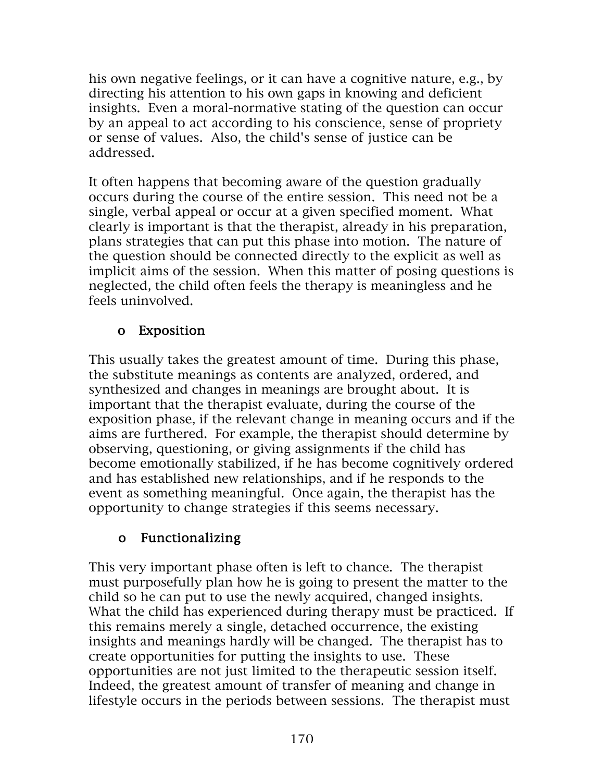his own negative feelings, or it can have a cognitive nature, e.g., by directing his attention to his own gaps in knowing and deficient insights. Even a moral-normative stating of the question can occur by an appeal to act according to his conscience, sense of propriety or sense of values. Also, the child's sense of justice can be addressed.

It often happens that becoming aware of the question gradually occurs during the course of the entire session. This need not be a single, verbal appeal or occur at a given specified moment. What clearly is important is that the therapist, already in his preparation, plans strategies that can put this phase into motion. The nature of the question should be connected directly to the explicit as well as implicit aims of the session. When this matter of posing questions is neglected, the child often feels the therapy is meaningless and he feels uninvolved.

## o Exposition

This usually takes the greatest amount of time. During this phase, the substitute meanings as contents are analyzed, ordered, and synthesized and changes in meanings are brought about. It is important that the therapist evaluate, during the course of the exposition phase, if the relevant change in meaning occurs and if the aims are furthered. For example, the therapist should determine by observing, questioning, or giving assignments if the child has become emotionally stabilized, if he has become cognitively ordered and has established new relationships, and if he responds to the event as something meaningful. Once again, the therapist has the opportunity to change strategies if this seems necessary.

## o Functionalizing

This very important phase often is left to chance. The therapist must purposefully plan how he is going to present the matter to the child so he can put to use the newly acquired, changed insights. What the child has experienced during therapy must be practiced. If this remains merely a single, detached occurrence, the existing insights and meanings hardly will be changed. The therapist has to create opportunities for putting the insights to use. These opportunities are not just limited to the therapeutic session itself. Indeed, the greatest amount of transfer of meaning and change in lifestyle occurs in the periods between sessions. The therapist must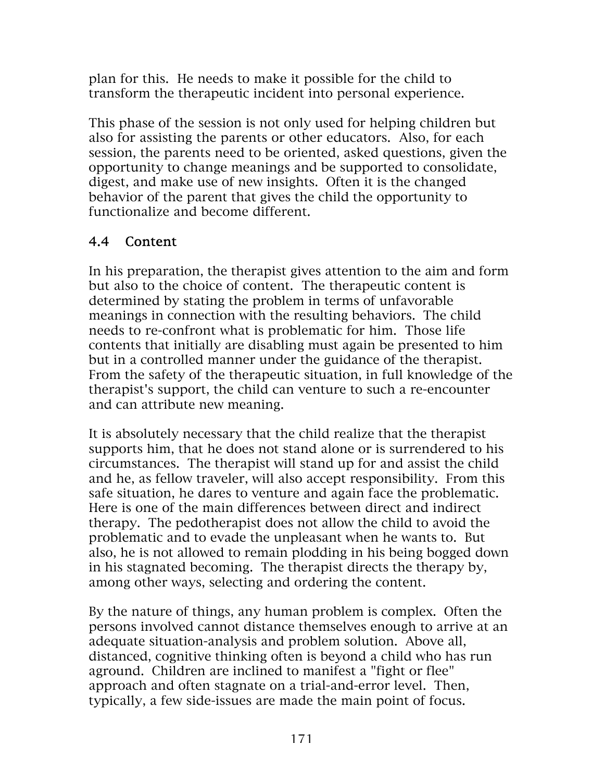plan for this. He needs to make it possible for the child to transform the therapeutic incident into personal experience.

This phase of the session is not only used for helping children but also for assisting the parents or other educators. Also, for each session, the parents need to be oriented, asked questions, given the opportunity to change meanings and be supported to consolidate, digest, and make use of new insights. Often it is the changed behavior of the parent that gives the child the opportunity to functionalize and become different.

### 4.4 Content

In his preparation, the therapist gives attention to the aim and form but also to the choice of content. The therapeutic content is determined by stating the problem in terms of unfavorable meanings in connection with the resulting behaviors. The child needs to re-confront what is problematic for him. Those life contents that initially are disabling must again be presented to him but in a controlled manner under the guidance of the therapist. From the safety of the therapeutic situation, in full knowledge of the therapist's support, the child can venture to such a re-encounter and can attribute new meaning.

It is absolutely necessary that the child realize that the therapist supports him, that he does not stand alone or is surrendered to his circumstances. The therapist will stand up for and assist the child and he, as fellow traveler, will also accept responsibility. From this safe situation, he dares to venture and again face the problematic. Here is one of the main differences between direct and indirect therapy. The pedotherapist does not allow the child to avoid the problematic and to evade the unpleasant when he wants to. But also, he is not allowed to remain plodding in his being bogged down in his stagnated becoming. The therapist directs the therapy by, among other ways, selecting and ordering the content.

By the nature of things, any human problem is complex. Often the persons involved cannot distance themselves enough to arrive at an adequate situation-analysis and problem solution. Above all, distanced, cognitive thinking often is beyond a child who has run aground. Children are inclined to manifest a "fight or flee" approach and often stagnate on a trial-and-error level. Then, typically, a few side-issues are made the main point of focus.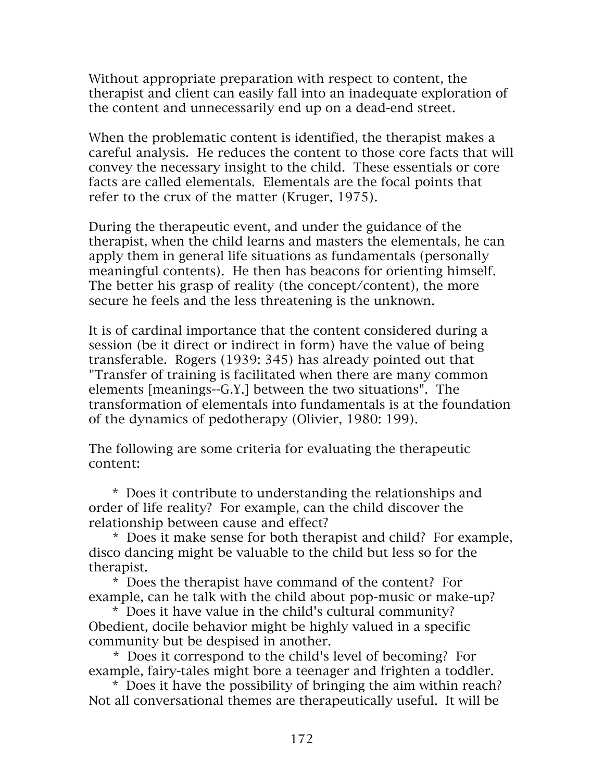Without appropriate preparation with respect to content, the therapist and client can easily fall into an inadequate exploration of the content and unnecessarily end up on a dead-end street.

When the problematic content is identified, the therapist makes a careful analysis. He reduces the content to those core facts that will convey the necessary insight to the child. These essentials or core facts are called elementals. Elementals are the focal points that refer to the crux of the matter (Kruger, 1975).

During the therapeutic event, and under the guidance of the therapist, when the child learns and masters the elementals, he can apply them in general life situations as fundamentals (personally meaningful contents). He then has beacons for orienting himself. The better his grasp of reality (the concept/content), the more secure he feels and the less threatening is the unknown.

It is of cardinal importance that the content considered during a session (be it direct or indirect in form) have the value of being transferable. Rogers (1939: 345) has already pointed out that "Transfer of training is facilitated when there are many common elements [meanings--G.Y.] between the two situations". The transformation of elementals into fundamentals is at the foundation of the dynamics of pedotherapy (Olivier, 1980: 199).

The following are some criteria for evaluating the therapeutic content:

 \* Does it contribute to understanding the relationships and order of life reality? For example, can the child discover the relationship between cause and effect?

 \* Does it make sense for both therapist and child? For example, disco dancing might be valuable to the child but less so for the therapist.

 \* Does the therapist have command of the content? For example, can he talk with the child about pop-music or make-up?

 \* Does it have value in the child's cultural community? Obedient, docile behavior might be highly valued in a specific community but be despised in another.

 \* Does it correspond to the child's level of becoming? For example, fairy-tales might bore a teenager and frighten a toddler.

 \* Does it have the possibility of bringing the aim within reach? Not all conversational themes are therapeutically useful. It will be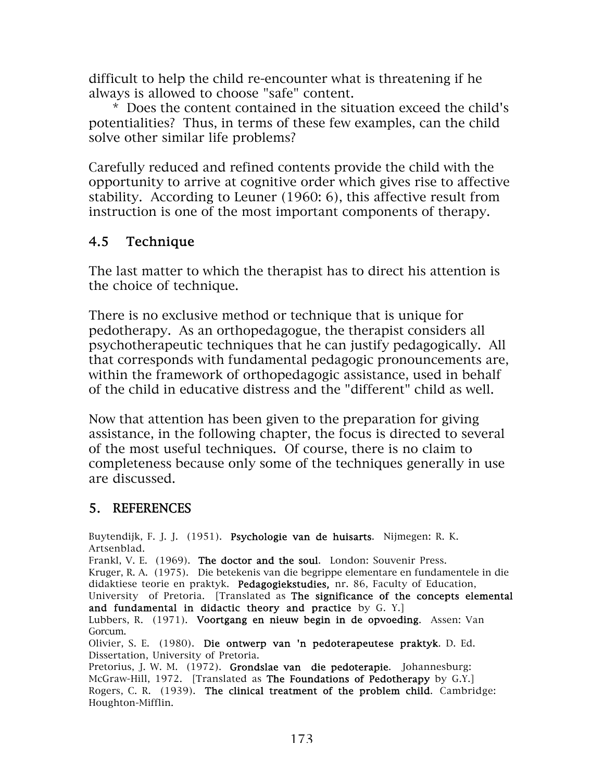difficult to help the child re-encounter what is threatening if he always is allowed to choose "safe" content.

 \* Does the content contained in the situation exceed the child's potentialities? Thus, in terms of these few examples, can the child solve other similar life problems?

Carefully reduced and refined contents provide the child with the opportunity to arrive at cognitive order which gives rise to affective stability. According to Leuner (1960: 6), this affective result from instruction is one of the most important components of therapy.

### 4.5 Technique

The last matter to which the therapist has to direct his attention is the choice of technique.

There is no exclusive method or technique that is unique for pedotherapy. As an orthopedagogue, the therapist considers all psychotherapeutic techniques that he can justify pedagogically. All that corresponds with fundamental pedagogic pronouncements are, within the framework of orthopedagogic assistance, used in behalf of the child in educative distress and the "different" child as well.

Now that attention has been given to the preparation for giving assistance, in the following chapter, the focus is directed to several of the most useful techniques. Of course, there is no claim to completeness because only some of the techniques generally in use are discussed.

#### 5. REFERENCES

Buytendijk, F. J. J. (1951). Psychologie van de huisarts. Nijmegen: R. K. Artsenblad. Frankl, V. E. (1969). The doctor and the soul. London: Souvenir Press. Kruger, R. A. (1975). Die betekenis van die begrippe elementare en fundamentele in die didaktiese teorie en praktyk. Pedagogiekstudies, nr. 86, Faculty of Education, University of Pretoria. [Translated as The significance of the concepts elemental and fundamental in didactic theory and practice by G. Y.] Lubbers, R. (1971). Voortgang en nieuw begin in de opvoeding. Assen: Van Gorcum. Olivier, S. E. (1980). Die ontwerp van 'n pedoterapeutese praktyk. D. Ed. Dissertation, University of Pretoria. Pretorius, J. W. M. (1972). Grondslae van die pedoterapie. Johannesburg: McGraw-Hill, 1972. [Translated as The Foundations of Pedotherapy by G.Y.] Rogers, C. R. (1939). The clinical treatment of the problem child. Cambridge: Houghton-Mifflin.